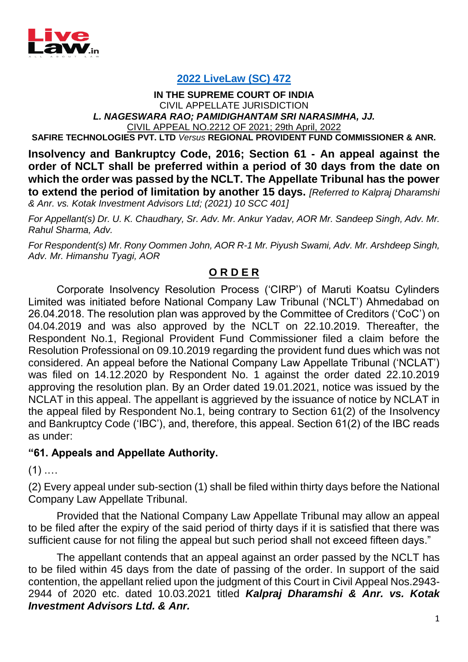

## **[2022 LiveLaw \(SC\) 472](https://www.livelaw.in/ibc-cases/supreme-court-nclat-justice-l-n-rao-justice-p-s-narasimha-under-section-62-of-insolvency-and-bankruptcy-code-nclt-corporate-insolvency-resolution-process-cirp-198950)**

## **IN THE SUPREME COURT OF INDIA** CIVIL APPELLATE JURISDICTION *L. NAGESWARA RAO; PAMIDIGHANTAM SRI NARASIMHA, JJ.* CIVIL APPEAL NO.2212 OF 2021; 29th April, 2022

**SAFIRE TECHNOLOGIES PVT. LTD** *Versus* **REGIONAL PROVIDENT FUND COMMISSIONER & ANR.**

**Insolvency and Bankruptcy Code, 2016; Section 61 - An appeal against the order of NCLT shall be preferred within a period of 30 days from the date on which the order was passed by the NCLT. The Appellate Tribunal has the power to extend the period of limitation by another 15 days.** *[Referred to Kalpraj Dharamshi* 

*& Anr. vs. Kotak Investment Advisors Ltd; (2021) 10 SCC 401]*

*For Appellant(s) Dr. U. K. Chaudhary, Sr. Adv. Mr. Ankur Yadav, AOR Mr. Sandeep Singh, Adv. Mr. Rahul Sharma, Adv.*

*For Respondent(s) Mr. Rony Oommen John, AOR R-1 Mr. Piyush Swami, Adv. Mr. Arshdeep Singh, Adv. Mr. Himanshu Tyagi, AOR*

## **O R D E R**

Corporate Insolvency Resolution Process ('CIRP') of Maruti Koatsu Cylinders Limited was initiated before National Company Law Tribunal ('NCLT') Ahmedabad on 26.04.2018. The resolution plan was approved by the Committee of Creditors ('CoC') on 04.04.2019 and was also approved by the NCLT on 22.10.2019. Thereafter, the Respondent No.1, Regional Provident Fund Commissioner filed a claim before the Resolution Professional on 09.10.2019 regarding the provident fund dues which was not considered. An appeal before the National Company Law Appellate Tribunal ('NCLAT') was filed on 14.12.2020 by Respondent No. 1 against the order dated 22.10.2019 approving the resolution plan. By an Order dated 19.01.2021, notice was issued by the NCLAT in this appeal. The appellant is aggrieved by the issuance of notice by NCLAT in the appeal filed by Respondent No.1, being contrary to Section 61(2) of the Insolvency and Bankruptcy Code ('IBC'), and, therefore, this appeal. Section 61(2) of the IBC reads as under:

## **"61. Appeals and Appellate Authority.**

 $(1)$  ....

(2) Every appeal under sub-section (1) shall be filed within thirty days before the National Company Law Appellate Tribunal.

Provided that the National Company Law Appellate Tribunal may allow an appeal to be filed after the expiry of the said period of thirty days if it is satisfied that there was sufficient cause for not filing the appeal but such period shall not exceed fifteen days."

The appellant contends that an appeal against an order passed by the NCLT has to be filed within 45 days from the date of passing of the order. In support of the said contention, the appellant relied upon the judgment of this Court in Civil Appeal Nos.2943- 2944 of 2020 etc. dated 10.03.2021 titled *Kalpraj Dharamshi & Anr. vs. Kotak Investment Advisors Ltd. & Anr.*